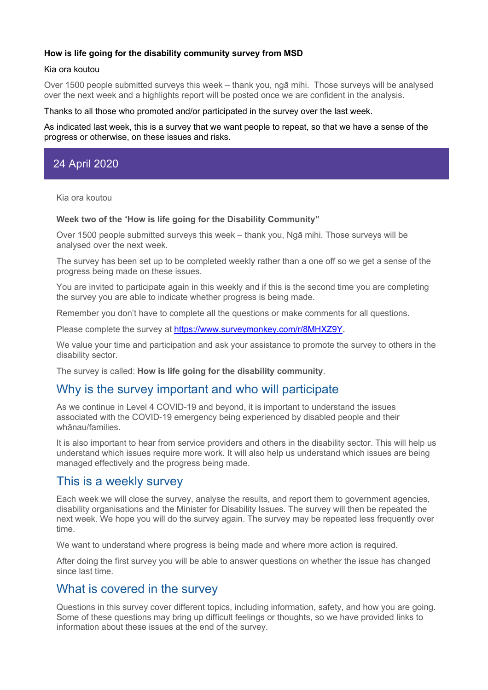## **How is life going for the disability community survey from MSD**

### Kia ora koutou

Over 1500 people submitted surveys this week – thank you, ngā mihi. Those surveys will be analysed over the next week and a highlights report will be posted once we are confident in the analysis.

#### Thanks to all those who promoted and/or participated in the survey over the last week.

As indicated last week, this is a survey that we want people to repeat, so that we have a sense of the progress or otherwise, on these issues and risks.

# 24 April 2020

Kia ora koutou

#### **Week two of the** "**How is life going for the Disability Community"**

Over 1500 people submitted surveys this week – thank you, Ngā mihi. Those surveys will be analysed over the next week.

The survey has been set up to be completed weekly rather than a one off so we get a sense of the progress being made on these issues.

You are invited to participate again in this weekly and if this is the second time you are completing the survey you are able to indicate whether progress is being made.

Remember you don't have to complete all the questions or make comments for all questions.

Please complete the survey at https://www.surveymonkey.com/r/8MHXZ9Y**.**

We value your time and participation and ask your assistance to promote the survey to others in the disability sector.

The survey is called: **How is life going for the disability community**.

## Why is the survey important and who will participate

As we continue in Level 4 COVID-19 and beyond, it is important to understand the issues associated with the COVID-19 emergency being experienced by disabled people and their whānau/families.

It is also important to hear from service providers and others in the disability sector. This will help us understand which issues require more work. It will also help us understand which issues are being managed effectively and the progress being made.

## This is a weekly survey

Each week we will close the survey, analyse the results, and report them to government agencies, disability organisations and the Minister for Disability Issues. The survey will then be repeated the next week. We hope you will do the survey again. The survey may be repeated less frequently over time.

We want to understand where progress is being made and where more action is required.

After doing the first survey you will be able to answer questions on whether the issue has changed since last time.

## What is covered in the survey

Questions in this survey cover different topics, including information, safety, and how you are going. Some of these questions may bring up difficult feelings or thoughts, so we have provided links to information about these issues at the end of the survey.